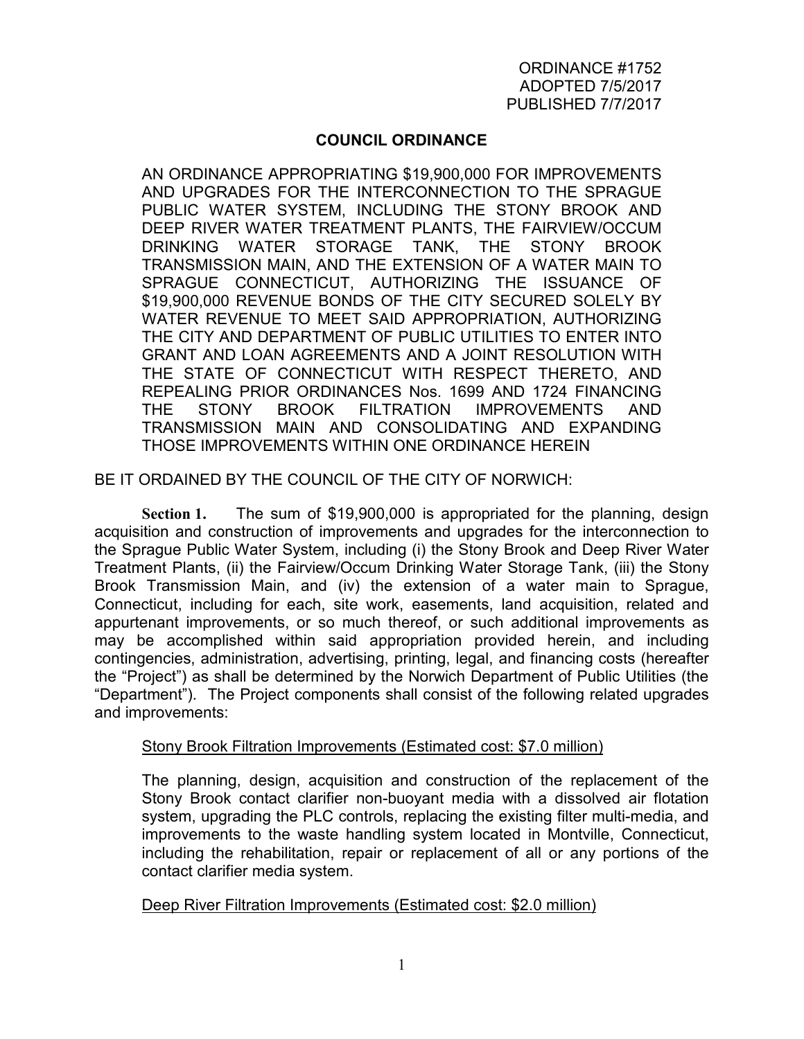# **COUNCIL ORDINANCE**

AN ORDINANCE APPROPRIATING \$19,900,000 FOR IMPROVEMENTS AND UPGRADES FOR THE INTERCONNECTION TO THE SPRAGUE PUBLIC WATER SYSTEM, INCLUDING THE STONY BROOK AND DEEP RIVER WATER TREATMENT PLANTS, THE FAIRVIEW/OCCUM DRINKING WATER STORAGE TANK, THE STONY BROOK TRANSMISSION MAIN, AND THE EXTENSION OF A WATER MAIN TO SPRAGUE CONNECTICUT, AUTHORIZING THE ISSUANCE OF \$19,900,000 REVENUE BONDS OF THE CITY SECURED SOLELY BY WATER REVENUE TO MEET SAID APPROPRIATION, AUTHORIZING THE CITY AND DEPARTMENT OF PUBLIC UTILITIES TO ENTER INTO GRANT AND LOAN AGREEMENTS AND A JOINT RESOLUTION WITH THE STATE OF CONNECTICUT WITH RESPECT THERETO, AND REPEALING PRIOR ORDINANCES Nos. 1699 AND 1724 FINANCING THE STONY BROOK FILTRATION IMPROVEMENTS AND TRANSMISSION MAIN AND CONSOLIDATING AND EXPANDING THOSE IMPROVEMENTS WITHIN ONE ORDINANCE HEREIN

BE IT ORDAINED BY THE COUNCIL OF THE CITY OF NORWICH:

**Section 1.** The sum of \$19,900,000 is appropriated for the planning, design acquisition and construction of improvements and upgrades for the interconnection to the Sprague Public Water System, including (i) the Stony Brook and Deep River Water Treatment Plants, (ii) the Fairview/Occum Drinking Water Storage Tank, (iii) the Stony Brook Transmission Main, and (iv) the extension of a water main to Sprague, Connecticut, including for each, site work, easements, land acquisition, related and appurtenant improvements, or so much thereof, or such additional improvements as may be accomplished within said appropriation provided herein, and including contingencies, administration, advertising, printing, legal, and financing costs (hereafter the "Project") as shall be determined by the Norwich Department of Public Utilities (the "Department"). The Project components shall consist of the following related upgrades and improvements:

#### Stony Brook Filtration Improvements (Estimated cost: \$7.0 million)

The planning, design, acquisition and construction of the replacement of the Stony Brook contact clarifier non-buoyant media with a dissolved air flotation system, upgrading the PLC controls, replacing the existing filter multi-media, and improvements to the waste handling system located in Montville, Connecticut, including the rehabilitation, repair or replacement of all or any portions of the contact clarifier media system.

Deep River Filtration Improvements (Estimated cost: \$2.0 million)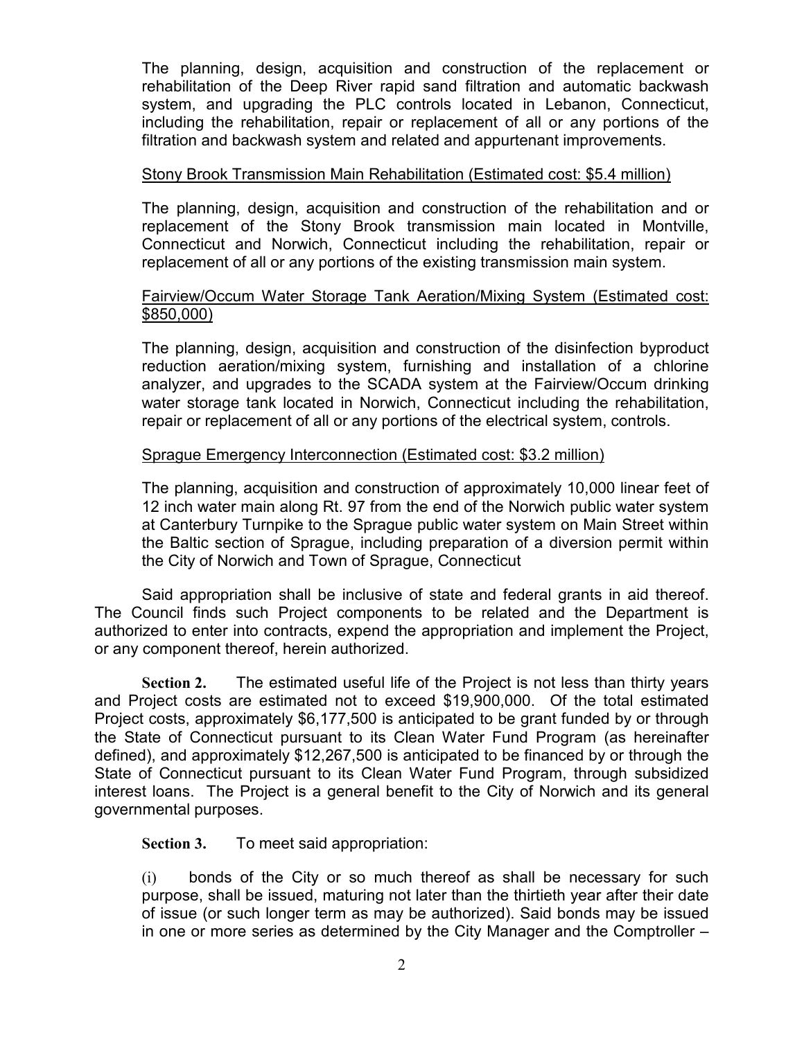The planning, design, acquisition and construction of the replacement or rehabilitation of the Deep River rapid sand filtration and automatic backwash system, and upgrading the PLC controls located in Lebanon, Connecticut, including the rehabilitation, repair or replacement of all or any portions of the filtration and backwash system and related and appurtenant improvements.

### Stony Brook Transmission Main Rehabilitation (Estimated cost: \$5.4 million)

The planning, design, acquisition and construction of the rehabilitation and or replacement of the Stony Brook transmission main located in Montville, Connecticut and Norwich, Connecticut including the rehabilitation, repair or replacement of all or any portions of the existing transmission main system.

# Fairview/Occum Water Storage Tank Aeration/Mixing System (Estimated cost: \$850,000)

The planning, design, acquisition and construction of the disinfection byproduct reduction aeration/mixing system, furnishing and installation of a chlorine analyzer, and upgrades to the SCADA system at the Fairview/Occum drinking water storage tank located in Norwich, Connecticut including the rehabilitation, repair or replacement of all or any portions of the electrical system, controls.

### Sprague Emergency Interconnection (Estimated cost: \$3.2 million)

The planning, acquisition and construction of approximately 10,000 linear feet of 12 inch water main along Rt. 97 from the end of the Norwich public water system at Canterbury Turnpike to the Sprague public water system on Main Street within the Baltic section of Sprague, including preparation of a diversion permit within the City of Norwich and Town of Sprague, Connecticut

Said appropriation shall be inclusive of state and federal grants in aid thereof. The Council finds such Project components to be related and the Department is authorized to enter into contracts, expend the appropriation and implement the Project, or any component thereof, herein authorized.

**Section 2.** The estimated useful life of the Project is not less than thirty years and Project costs are estimated not to exceed \$19,900,000. Of the total estimated Project costs, approximately \$6,177,500 is anticipated to be grant funded by or through the State of Connecticut pursuant to its Clean Water Fund Program (as hereinafter defined), and approximately \$12,267,500 is anticipated to be financed by or through the State of Connecticut pursuant to its Clean Water Fund Program, through subsidized interest loans. The Project is a general benefit to the City of Norwich and its general governmental purposes.

**Section 3.** To meet said appropriation:

(i) bonds of the City or so much thereof as shall be necessary for such purpose, shall be issued, maturing not later than the thirtieth year after their date of issue (or such longer term as may be authorized). Said bonds may be issued in one or more series as determined by the City Manager and the Comptroller –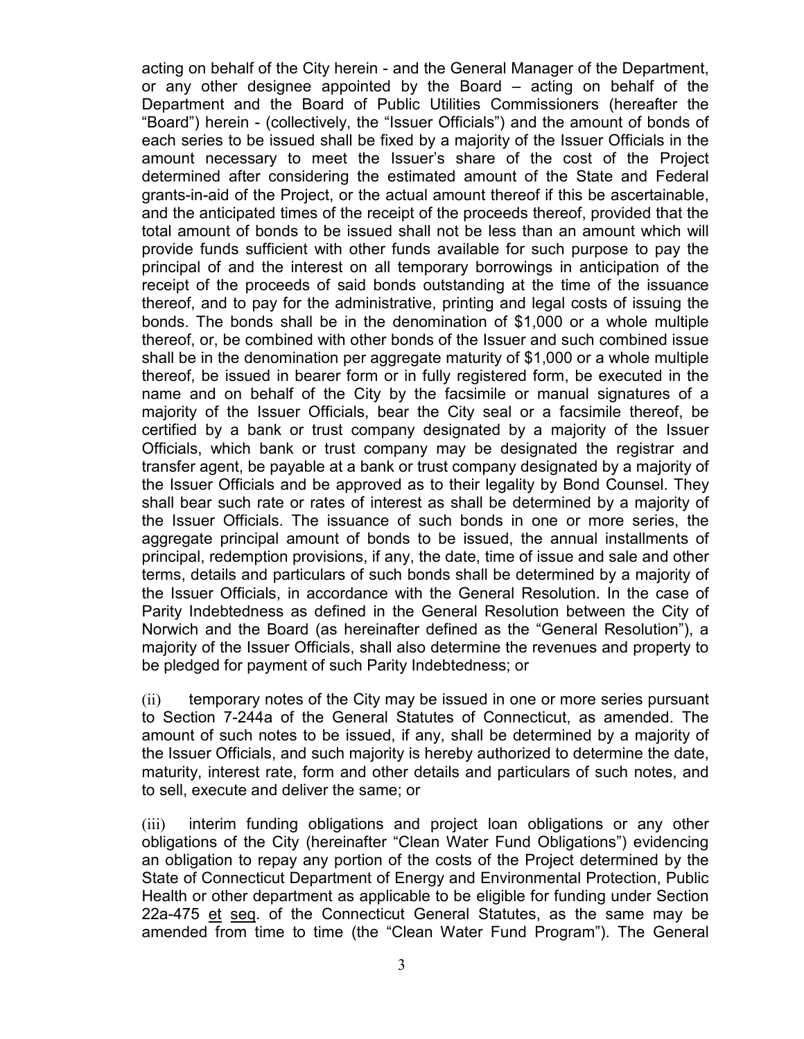acting on behalf of the City herein - and the General Manager of the Department, or any other designee appointed by the Board – acting on behalf of the Department and the Board of Public Utilities Commissioners (hereafter the "Board") herein - (collectively, the "Issuer Officials") and the amount of bonds of each series to be issued shall be fixed by a majority of the Issuer Officials in the amount necessary to meet the Issuer's share of the cost of the Project determined after considering the estimated amount of the State and Federal grants-in-aid of the Project, or the actual amount thereof if this be ascertainable, and the anticipated times of the receipt of the proceeds thereof, provided that the total amount of bonds to be issued shall not be less than an amount which will provide funds sufficient with other funds available for such purpose to pay the principal of and the interest on all temporary borrowings in anticipation of the receipt of the proceeds of said bonds outstanding at the time of the issuance thereof, and to pay for the administrative, printing and legal costs of issuing the bonds. The bonds shall be in the denomination of \$1,000 or a whole multiple thereof, or, be combined with other bonds of the Issuer and such combined issue shall be in the denomination per aggregate maturity of \$1,000 or a whole multiple thereof, be issued in bearer form or in fully registered form, be executed in the name and on behalf of the City by the facsimile or manual signatures of a majority of the Issuer Officials, bear the City seal or a facsimile thereof, be certified by a bank or trust company designated by a majority of the Issuer Officials, which bank or trust company may be designated the registrar and transfer agent, be payable at a bank or trust company designated by a majority of the Issuer Officials and be approved as to their legality by Bond Counsel. They shall bear such rate or rates of interest as shall be determined by a majority of the Issuer Officials. The issuance of such bonds in one or more series, the aggregate principal amount of bonds to be issued, the annual installments of principal, redemption provisions, if any, the date, time of issue and sale and other terms, details and particulars of such bonds shall be determined by a majority of the Issuer Officials, in accordance with the General Resolution. In the case of Parity Indebtedness as defined in the General Resolution between the City of Norwich and the Board (as hereinafter defined as the "General Resolution"), a majority of the Issuer Officials, shall also determine the revenues and property to be pledged for payment of such Parity Indebtedness; or

(ii) temporary notes of the City may be issued in one or more series pursuant to Section 7-244a of the General Statutes of Connecticut, as amended. The amount of such notes to be issued, if any, shall be determined by a majority of the Issuer Officials, and such majority is hereby authorized to determine the date, maturity, interest rate, form and other details and particulars of such notes, and to sell, execute and deliver the same; or

(iii) interim funding obligations and project loan obligations or any other obligations of the City (hereinafter "Clean Water Fund Obligations") evidencing an obligation to repay any portion of the costs of the Project determined by the State of Connecticut Department of Energy and Environmental Protection, Public Health or other department as applicable to be eligible for funding under Section 22a-475 et seq. of the Connecticut General Statutes, as the same may be amended from time to time (the "Clean Water Fund Program"). The General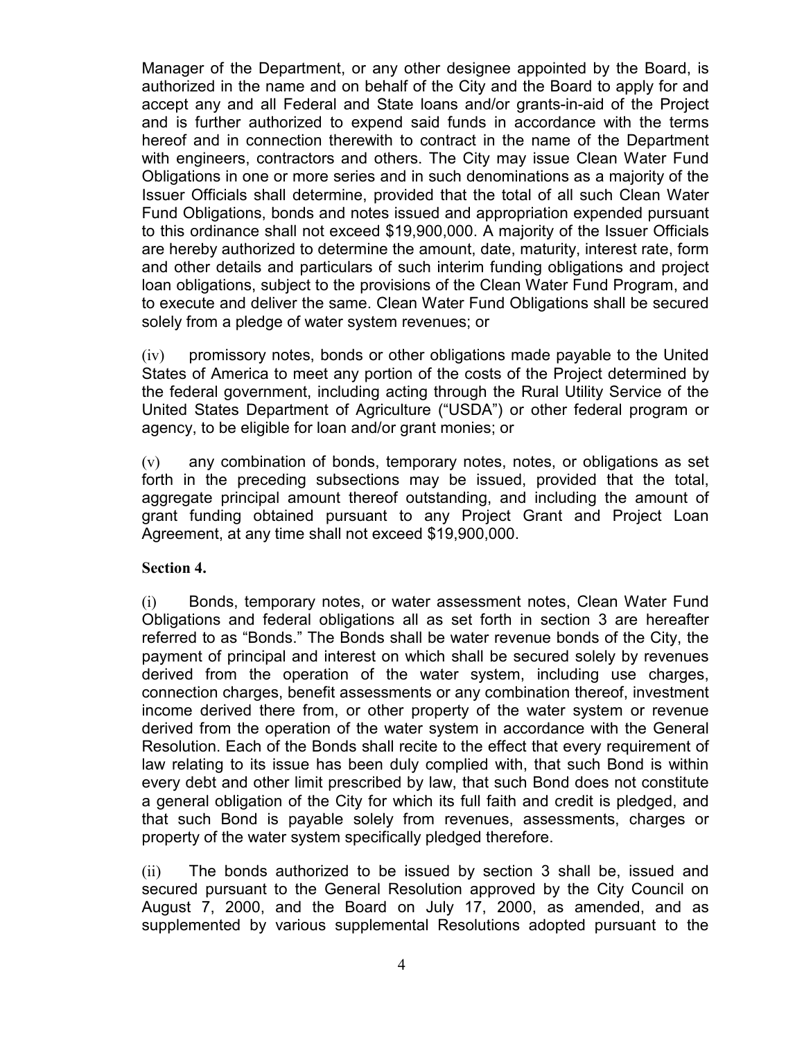Manager of the Department, or any other designee appointed by the Board, is authorized in the name and on behalf of the City and the Board to apply for and accept any and all Federal and State loans and/or grants-in-aid of the Project and is further authorized to expend said funds in accordance with the terms hereof and in connection therewith to contract in the name of the Department with engineers, contractors and others. The City may issue Clean Water Fund Obligations in one or more series and in such denominations as a majority of the Issuer Officials shall determine, provided that the total of all such Clean Water Fund Obligations, bonds and notes issued and appropriation expended pursuant to this ordinance shall not exceed \$19,900,000. A majority of the Issuer Officials are hereby authorized to determine the amount, date, maturity, interest rate, form and other details and particulars of such interim funding obligations and project loan obligations, subject to the provisions of the Clean Water Fund Program, and to execute and deliver the same. Clean Water Fund Obligations shall be secured solely from a pledge of water system revenues; or

(iv) promissory notes, bonds or other obligations made payable to the United States of America to meet any portion of the costs of the Project determined by the federal government, including acting through the Rural Utility Service of the United States Department of Agriculture ("USDA") or other federal program or agency, to be eligible for loan and/or grant monies; or

(v) any combination of bonds, temporary notes, notes, or obligations as set forth in the preceding subsections may be issued, provided that the total, aggregate principal amount thereof outstanding, and including the amount of grant funding obtained pursuant to any Project Grant and Project Loan Agreement, at any time shall not exceed \$19,900,000.

#### **Section 4.**

(i) Bonds, temporary notes, or water assessment notes, Clean Water Fund Obligations and federal obligations all as set forth in section 3 are hereafter referred to as "Bonds." The Bonds shall be water revenue bonds of the City, the payment of principal and interest on which shall be secured solely by revenues derived from the operation of the water system, including use charges, connection charges, benefit assessments or any combination thereof, investment income derived there from, or other property of the water system or revenue derived from the operation of the water system in accordance with the General Resolution. Each of the Bonds shall recite to the effect that every requirement of law relating to its issue has been duly complied with, that such Bond is within every debt and other limit prescribed by law, that such Bond does not constitute a general obligation of the City for which its full faith and credit is pledged, and that such Bond is payable solely from revenues, assessments, charges or property of the water system specifically pledged therefore.

(ii) The bonds authorized to be issued by section 3 shall be, issued and secured pursuant to the General Resolution approved by the City Council on August 7, 2000, and the Board on July 17, 2000, as amended, and as supplemented by various supplemental Resolutions adopted pursuant to the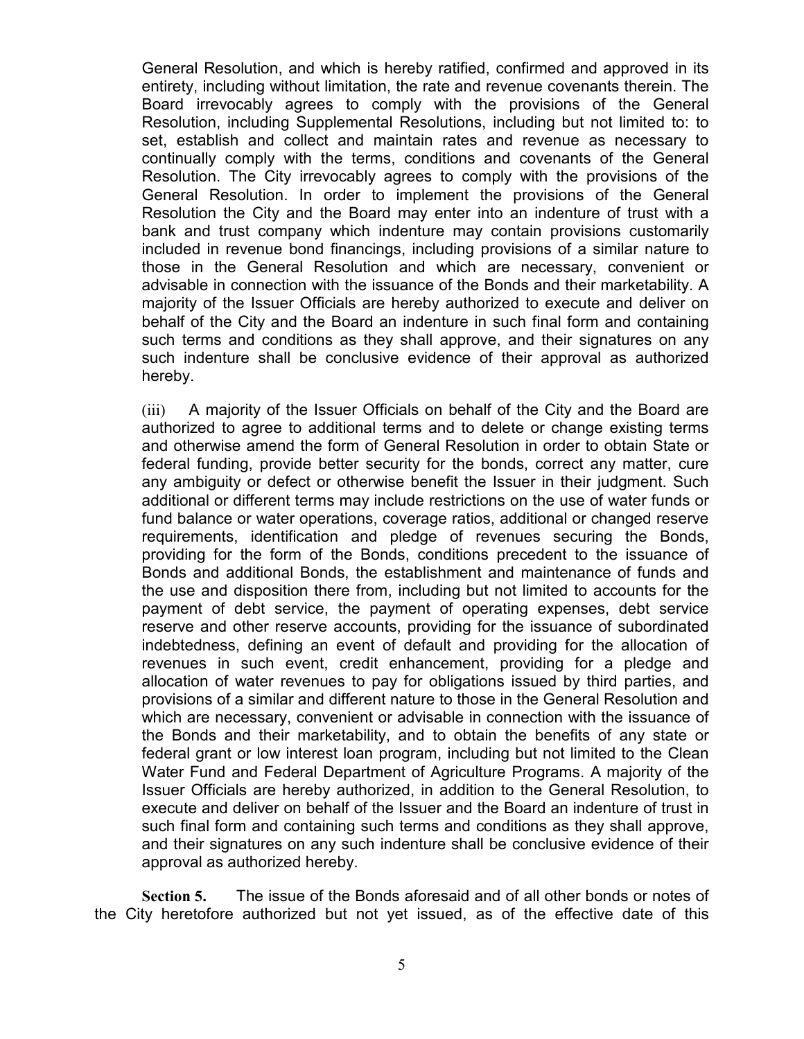General Resolution, and which is hereby ratified, confirmed and approved in its entirety, including without limitation, the rate and revenue covenants therein. The Board irrevocably agrees to comply with the provisions of the General Resolution, including Supplemental Resolutions, including but not limited to: to set, establish and collect and maintain rates and revenue as necessary to continually comply with the terms, conditions and covenants of the General Resolution. The City irrevocably agrees to comply with the provisions of the General Resolution. In order to implement the provisions of the General Resolution the City and the Board may enter into an indenture of trust with a bank and trust company which indenture may contain provisions customarily included in revenue bond financings, including provisions of a similar nature to those in the General Resolution and which are necessary, convenient or advisable in connection with the issuance of the Bonds and their marketability. A majority of the Issuer Officials are hereby authorized to execute and deliver on behalf of the City and the Board an indenture in such final form and containing such terms and conditions as they shall approve, and their signatures on any such indenture shall be conclusive evidence of their approval as authorized hereby.

(iii) A majority of the Issuer Officials on behalf of the City and the Board are authorized to agree to additional terms and to delete or change existing terms and otherwise amend the form of General Resolution in order to obtain State or federal funding, provide better security for the bonds, correct any matter, cure any ambiguity or defect or otherwise benefit the Issuer in their judgment. Such additional or different terms may include restrictions on the use of water funds or fund balance or water operations, coverage ratios, additional or changed reserve requirements, identification and pledge of revenues securing the Bonds, providing for the form of the Bonds, conditions precedent to the issuance of Bonds and additional Bonds, the establishment and maintenance of funds and the use and disposition there from, including but not limited to accounts for the payment of debt service, the payment of operating expenses, debt service reserve and other reserve accounts, providing for the issuance of subordinated indebtedness, defining an event of default and providing for the allocation of revenues in such event, credit enhancement, providing for a pledge and allocation of water revenues to pay for obligations issued by third parties, and provisions of a similar and different nature to those in the General Resolution and which are necessary, convenient or advisable in connection with the issuance of the Bonds and their marketability, and to obtain the benefits of any state or federal grant or low interest loan program, including but not limited to the Clean Water Fund and Federal Department of Agriculture Programs. A majority of the Issuer Officials are hereby authorized, in addition to the General Resolution, to execute and deliver on behalf of the Issuer and the Board an indenture of trust in such final form and containing such terms and conditions as they shall approve, and their signatures on any such indenture shall be conclusive evidence of their approval as authorized hereby.

**Section 5.** The issue of the Bonds aforesaid and of all other bonds or notes of the City heretofore authorized but not yet issued, as of the effective date of this